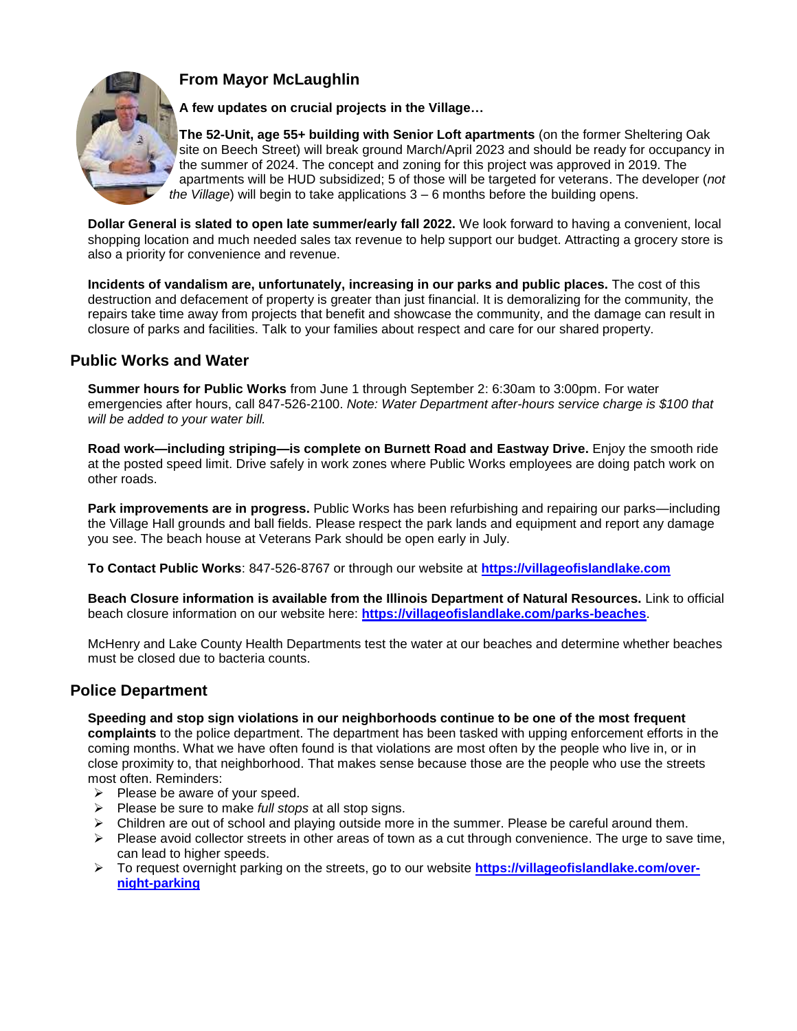## **From Mayor McLaughlin**



**A few updates on crucial projects in the Village…**

**The 52-Unit, age 55+ building with Senior Loft apartments** (on the former Sheltering Oak site on Beech Street) will break ground March/April 2023 and should be ready for occupancy in the summer of 2024. The concept and zoning for this project was approved in 2019. The apartments will be HUD subsidized; 5 of those will be targeted for veterans. The developer (*not the Village*) will begin to take applications 3 – 6 months before the building opens.

**Dollar General is slated to open late summer/early fall 2022.** We look forward to having a convenient, local shopping location and much needed sales tax revenue to help support our budget. Attracting a grocery store is also a priority for convenience and revenue.

**Incidents of vandalism are, unfortunately, increasing in our parks and public places.** The cost of this destruction and defacement of property is greater than just financial. It is demoralizing for the community, the repairs take time away from projects that benefit and showcase the community, and the damage can result in closure of parks and facilities. Talk to your families about respect and care for our shared property.

## **Public Works and Water**

**Summer hours for Public Works** from June 1 through September 2: 6:30am to 3:00pm. For water emergencies after hours, call 847-526-2100. *Note: Water Department after-hours service charge is \$100 that will be added to your water bill.*

**Road work—including striping—is complete on Burnett Road and Eastway Drive.** Enjoy the smooth ride at the posted speed limit. Drive safely in work zones where Public Works employees are doing patch work on other roads.

**Park improvements are in progress.** Public Works has been refurbishing and repairing our parks—including the Village Hall grounds and ball fields. Please respect the park lands and equipment and report any damage you see. The beach house at Veterans Park should be open early in July.

**To Contact Public Works**: 847-526-8767 or through our website at **[https://villageofislandlake.com](https://villageofislandlake.com/)**

**Beach Closure information is available from the Illinois Department of Natural Resources.** Link to official beach closure information on our website here: **<https://villageofislandlake.com/parks-beaches>**.

McHenry and Lake County Health Departments test the water at our beaches and determine whether beaches must be closed due to bacteria counts.

## **Police Department**

#### **Speeding and stop sign violations in our neighborhoods continue to be one of the most frequent**

**complaints** to the police department. The department has been tasked with upping enforcement efforts in the coming months. What we have often found is that violations are most often by the people who live in, or in close proximity to, that neighborhood. That makes sense because those are the people who use the streets most often. Reminders:

- $\triangleright$  Please be aware of your speed.
- Please be sure to make *full stops* at all stop signs.
- $\triangleright$  Children are out of school and playing outside more in the summer. Please be careful around them.
- $\triangleright$  Please avoid collector streets in other areas of town as a cut through convenience. The urge to save time, can lead to higher speeds.
- To request overnight parking on the streets, go to our website **[https://villageofislandlake.com/over](https://villageofislandlake.com/over-night-parking)[night-parking](https://villageofislandlake.com/over-night-parking)**